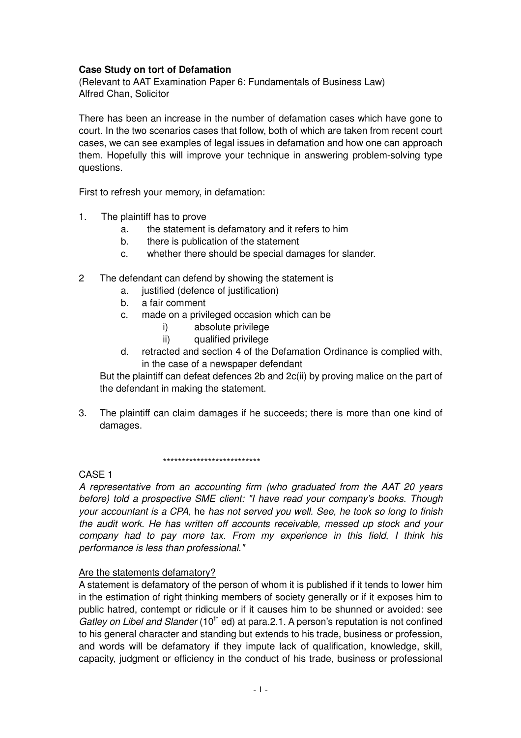### **Case Study on tort of Defamation**

(Relevant to AAT Examination Paper 6: Fundamentals of Business Law) Alfred Chan, Solicitor

There has been an increase in the number of defamation cases which have gone to court. In the two scenarios cases that follow, both of which are taken from recent court cases, we can see examples of legal issues in defamation and how one can approach them. Hopefully this will improve your technique in answering problem-solving type questions.

First to refresh your memory, in defamation:

- 1. The plaintiff has to prove
	- a. the statement is defamatory and it refers to him
	- b. there is publication of the statement
	- c. whether there should be special damages for slander.
- 2 The defendant can defend by showing the statement is
	- a. justified (defence of justification)
	- b. a fair comment
	- c. made on a privileged occasion which can be
		- i) absolute privilege
		- ii) qualified privilege
	- d. retracted and section 4 of the Defamation Ordinance is complied with, in the case of a newspaper defendant

But the plaintiff can defeat defences 2b and 2c(ii) by proving malice on the part of the defendant in making the statement.

3. The plaintiff can claim damages if he succeeds; there is more than one kind of damages.

\*\*\*\*\*\*\*\*\*\*\*\*\*\*\*\*\*\*\*\*\*\*\*\*\*\*

### CASE 1

A representative from an accounting firm (who graduated from the AAT 20 years before) told a prospective SME client: "I have read your company's books. Though your accountant is a CPA, he has not served you well. See, he took so long to finish the audit work. He has written off accounts receivable, messed up stock and your company had to pay more tax. From my experience in this field, I think his performance is less than professional."

## Are the statements defamatory?

A statement is defamatory of the person of whom it is published if it tends to lower him in the estimation of right thinking members of society generally or if it exposes him to public hatred, contempt or ridicule or if it causes him to be shunned or avoided: see Gatley on Libel and Slander  $(10<sup>th</sup>$  ed) at para. 2.1. A person's reputation is not confined to his general character and standing but extends to his trade, business or profession, and words will be defamatory if they impute lack of qualification, knowledge, skill, capacity, judgment or efficiency in the conduct of his trade, business or professional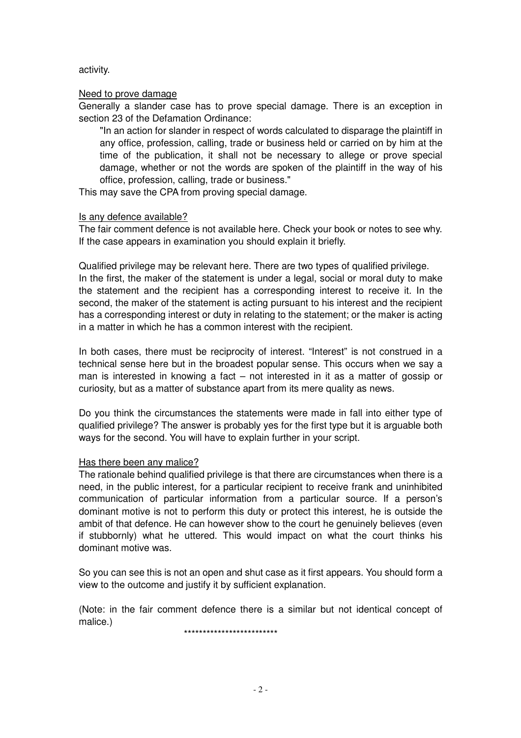#### activity.

### Need to prove damage

Generally a slander case has to prove special damage. There is an exception in section 23 of the Defamation Ordinance:

"In an action for slander in respect of words calculated to disparage the plaintiff in any office, profession, calling, trade or business held or carried on by him at the time of the publication, it shall not be necessary to allege or prove special damage, whether or not the words are spoken of the plaintiff in the way of his office, profession, calling, trade or business."

This may save the CPA from proving special damage.

### Is any defence available?

The fair comment defence is not available here. Check your book or notes to see why. If the case appears in examination you should explain it briefly.

Qualified privilege may be relevant here. There are two types of qualified privilege. In the first, the maker of the statement is under a legal, social or moral duty to make the statement and the recipient has a corresponding interest to receive it. In the second, the maker of the statement is acting pursuant to his interest and the recipient has a corresponding interest or duty in relating to the statement; or the maker is acting in a matter in which he has a common interest with the recipient.

In both cases, there must be reciprocity of interest. "Interest" is not construed in a technical sense here but in the broadest popular sense. This occurs when we say a man is interested in knowing a fact – not interested in it as a matter of gossip or curiosity, but as a matter of substance apart from its mere quality as news.

Do you think the circumstances the statements were made in fall into either type of qualified privilege? The answer is probably yes for the first type but it is arguable both ways for the second. You will have to explain further in your script.

#### Has there been any malice?

The rationale behind qualified privilege is that there are circumstances when there is a need, in the public interest, for a particular recipient to receive frank and uninhibited communication of particular information from a particular source. If a person's dominant motive is not to perform this duty or protect this interest, he is outside the ambit of that defence. He can however show to the court he genuinely believes (even if stubbornly) what he uttered. This would impact on what the court thinks his dominant motive was.

So you can see this is not an open and shut case as it first appears. You should form a view to the outcome and justify it by sufficient explanation.

(Note: in the fair comment defence there is a similar but not identical concept of malice.)

\*\*\*\*\*\*\*\*\*\*\*\*\*\*\*\*\*\*\*\*\*\*\*\*\*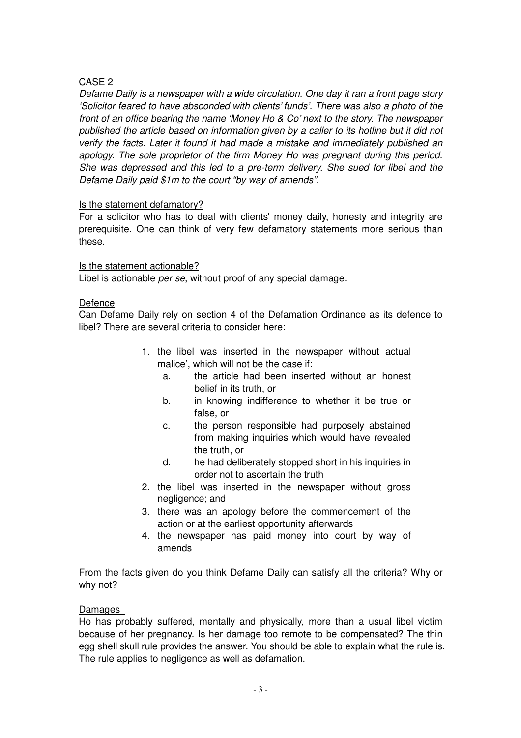# CASE 2

Defame Daily is a newspaper with a wide circulation. One day it ran a front page story 'Solicitor feared to have absconded with clients' funds'. There was also a photo of the front of an office bearing the name 'Money Ho & Co' next to the story. The newspaper published the article based on information given by a caller to its hotline but it did not verify the facts. Later it found it had made a mistake and immediately published an apology. The sole proprietor of the firm Money Ho was pregnant during this period. She was depressed and this led to a pre-term delivery. She sued for libel and the Defame Daily paid \$1m to the court "by way of amends".

## Is the statement defamatory?

For a solicitor who has to deal with clients' money daily, honesty and integrity are prerequisite. One can think of very few defamatory statements more serious than these.

## Is the statement actionable?

Libel is actionable *per se*, without proof of any special damage.

## Defence

Can Defame Daily rely on section 4 of the Defamation Ordinance as its defence to libel? There are several criteria to consider here:

- 1. the libel was inserted in the newspaper without actual malice', which will not be the case if:
	- a. the article had been inserted without an honest belief in its truth, or
	- b. in knowing indifference to whether it be true or false, or
	- c. the person responsible had purposely abstained from making inquiries which would have revealed the truth, or
	- d. he had deliberately stopped short in his inquiries in order not to ascertain the truth
- 2. the libel was inserted in the newspaper without gross negligence; and
- 3. there was an apology before the commencement of the action or at the earliest opportunity afterwards
- 4. the newspaper has paid money into court by way of amends

From the facts given do you think Defame Daily can satisfy all the criteria? Why or why not?

## Damages

Ho has probably suffered, mentally and physically, more than a usual libel victim because of her pregnancy. Is her damage too remote to be compensated? The thin egg shell skull rule provides the answer. You should be able to explain what the rule is. The rule applies to negligence as well as defamation.